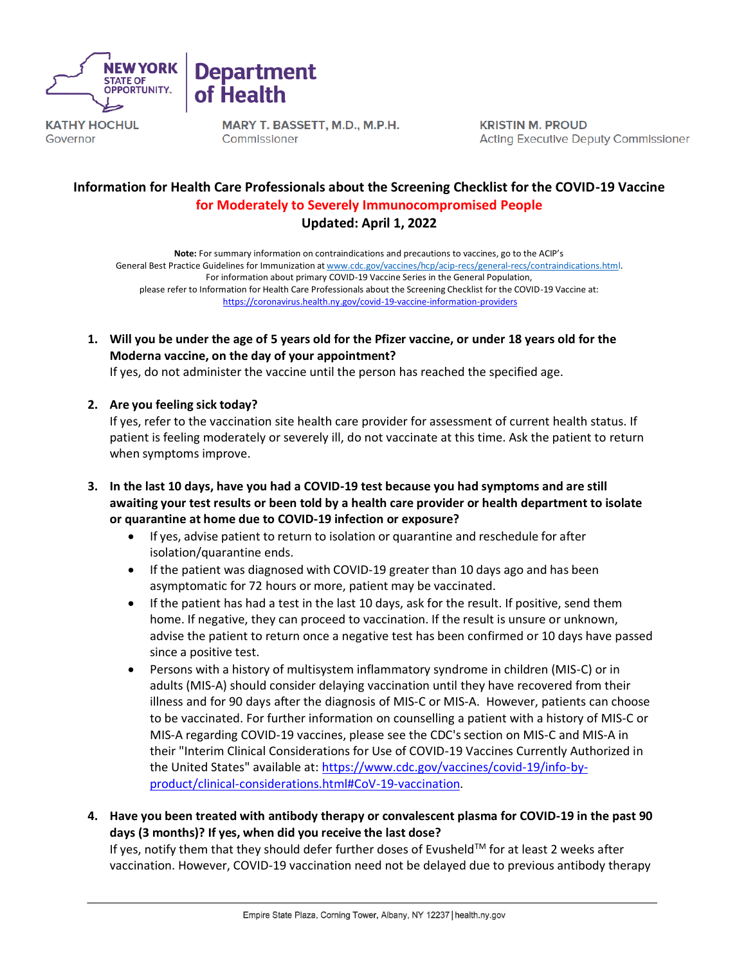



**KATHY HOCHUL** Governor

MARY T. BASSETT, M.D., M.P.H. Commissioner

**KRISTIN M. PROUD Acting Executive Deputy Commissioner** 

# **Information for Health Care Professionals about the Screening Checklist for the COVID-19 Vaccine for Moderately to Severely Immunocompromised People Updated: April 1, 2022**

**Note:** For summary information on contraindications and precautions to vaccines, go to the ACIP's General Best Practice Guidelines for Immunization at [www.cdc.gov/vaccines/hcp/acip-recs/general-recs/contraindications.html.](http://www.cdc.gov/vaccines/hcp/acip-recs/general-recs/contraindications.html) For information about primary COVID-19 Vaccine Series in the General Population, please refer to Information for Health Care Professionals about the Screening Checklist for the COVID-19 Vaccine at: <https://coronavirus.health.ny.gov/covid-19-vaccine-information-providers>

**1. Will you be under the age of 5 years old for the Pfizer vaccine, or under 18 years old for the Moderna vaccine, on the day of your appointment?** 

If yes, do not administer the vaccine until the person has reached the specified age.

## **2. Are you feeling sick today?**

If yes, refer to the vaccination site health care provider for assessment of current health status. If patient is feeling moderately or severely ill, do not vaccinate at this time. Ask the patient to return when symptoms improve.

- **3. In the last 10 days, have you had a COVID-19 test because you had symptoms and are still awaiting your test results or been told by a health care provider or health department to isolate or quarantine at home due to COVID-19 infection or exposure?**
	- If yes, advise patient to return to isolation or quarantine and reschedule for after isolation/quarantine ends.
	- If the patient was diagnosed with COVID-19 greater than 10 days ago and has been asymptomatic for 72 hours or more, patient may be vaccinated.
	- If the patient has had a test in the last 10 days, ask for the result. If positive, send them home. If negative, they can proceed to vaccination. If the result is unsure or unknown, advise the patient to return once a negative test has been confirmed or 10 days have passed since a positive test.
	- Persons with a history of multisystem inflammatory syndrome in children (MIS-C) or in adults (MIS-A) should consider delaying vaccination until they have recovered from their illness and for 90 days after the diagnosis of MIS-C or MIS-A. However, patients can choose to be vaccinated. For further information on counselling a patient with a history of MIS-C or MIS-A regarding COVID-19 vaccines, please see the CDC's section on MIS-C and MIS-A in their "Interim Clinical Considerations for Use of COVID-19 Vaccines Currently Authorized in the United States" available at: [https://www.cdc.gov/vaccines/covid-19/info-by](https://www.cdc.gov/vaccines/covid-19/info-by-product/clinical-considerations.html#CoV-19-vaccination)[product/clinical-considerations.html#CoV-19-vaccination.](https://www.cdc.gov/vaccines/covid-19/info-by-product/clinical-considerations.html#CoV-19-vaccination)
- **4. Have you been treated with antibody therapy or convalescent plasma for COVID-19 in the past 90 days (3 months)? If yes, when did you receive the last dose?**

If yes, notify them that they should defer further doses of Evusheld™ for at least 2 weeks after vaccination. However, COVID-19 vaccination need not be delayed due to previous antibody therapy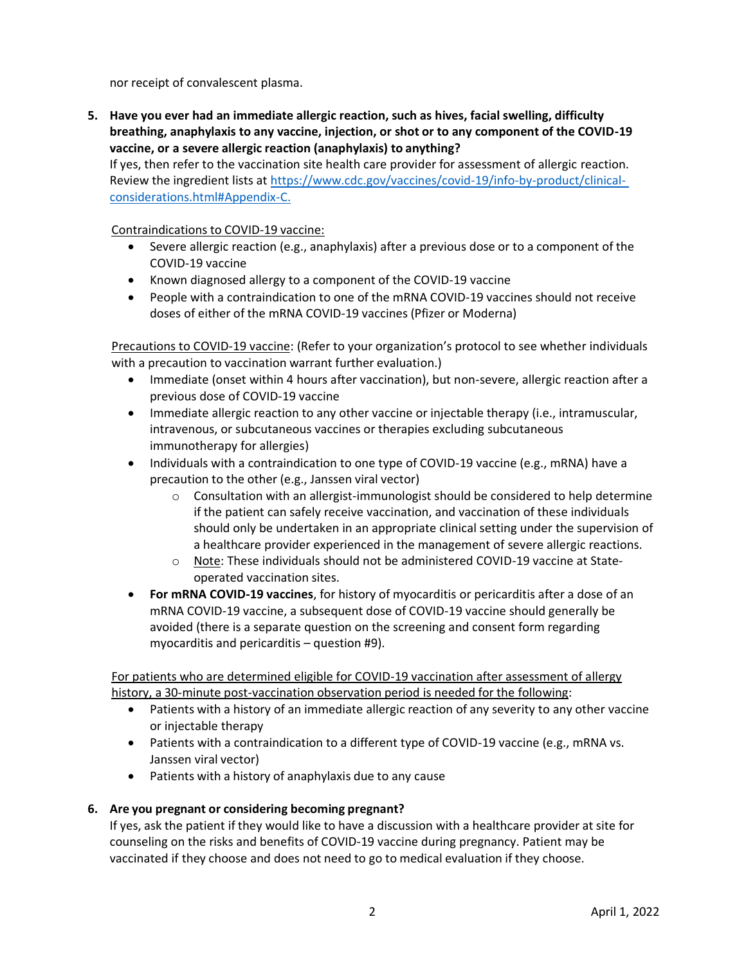nor receipt of convalescent plasma.

**5. Have you ever had an immediate allergic reaction, such as hives, facial swelling, difficulty breathing, anaphylaxis to any vaccine, injection, or shot or to any component of the COVID-19 vaccine, or a severe allergic reaction (anaphylaxis) to anything?**

If yes, then refer to the vaccination site health care provider for assessment of allergic reaction. Review the ingredient lists at [https://www.cdc.gov/vaccines/covid-19/info-by-product/clinical](https://www.cdc.gov/vaccines/covid-19/info-by-product/clinical-considerations.html#Appendix-C)[considerations.html#Appendix-C.](https://www.cdc.gov/vaccines/covid-19/info-by-product/clinical-considerations.html#Appendix-C)

Contraindications to COVID-19 vaccine:

- Severe allergic reaction (e.g., anaphylaxis) after a previous dose or to a component of the COVID-19 vaccine
- Known diagnosed allergy to a component of the COVID-19 vaccine
- People with a contraindication to one of the mRNA COVID-19 vaccines should not receive doses of either of the mRNA COVID-19 vaccines (Pfizer or Moderna)

Precautions to COVID-19 vaccine: (Refer to your organization's protocol to see whether individuals with a precaution to vaccination warrant further evaluation.)

- Immediate (onset within 4 hours after vaccination), but non-severe, allergic reaction after a previous dose of COVID-19 vaccine
- Immediate allergic reaction to any other vaccine or injectable therapy (i.e., intramuscular, intravenous, or subcutaneous vaccines or therapies excluding subcutaneous immunotherapy for allergies)
- Individuals with a contraindication to one type of COVID-19 vaccine (e.g., mRNA) have a precaution to the other (e.g., Janssen viral vector)
	- $\circ$  Consultation with an allergist-immunologist should be considered to help determine if the patient can safely receive vaccination, and vaccination of these individuals should only be undertaken in an appropriate clinical setting under the supervision of a healthcare provider experienced in the management of severe allergic reactions.
	- o Note: These individuals should not be administered COVID-19 vaccine at Stateoperated vaccination sites.
- **For mRNA COVID-19 vaccines**, for history of myocarditis or pericarditis after a dose of an mRNA COVID-19 vaccine, a subsequent dose of COVID-19 vaccine should generally be avoided (there is a separate question on the screening and consent form regarding myocarditis and pericarditis – question #9).

For patients who are determined eligible for COVID-19 vaccination after assessment of allergy history, a 30-minute post-vaccination observation period is needed for the following:

- Patients with a history of an immediate allergic reaction of any severity to any other vaccine or injectable therapy
- Patients with a contraindication to a different type of COVID-19 vaccine (e.g., mRNA vs. Janssen viral vector)
- Patients with a history of anaphylaxis due to any cause

# **6. Are you pregnant or considering becoming pregnant?**

If yes, ask the patient if they would like to have a discussion with a healthcare provider at site for counseling on the risks and benefits of COVID-19 vaccine during pregnancy. Patient may be vaccinated if they choose and does not need to go to medical evaluation if they choose.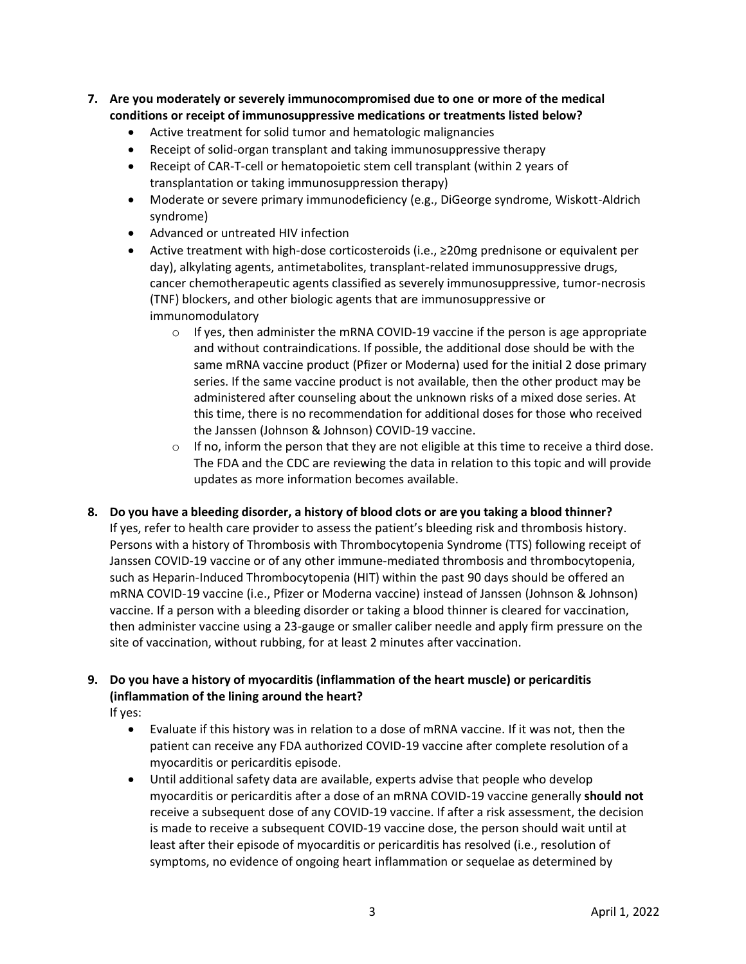- **7. Are you moderately or severely immunocompromised due to one or more of the medical conditions or receipt of immunosuppressive medications or treatments listed below?**
	- Active treatment for solid tumor and hematologic malignancies
	- Receipt of solid-organ transplant and taking immunosuppressive therapy
	- Receipt of CAR-T-cell or hematopoietic stem cell transplant (within 2 years of transplantation or taking immunosuppression therapy)
	- Moderate or severe primary immunodeficiency (e.g., DiGeorge syndrome, Wiskott-Aldrich syndrome)
	- Advanced or untreated HIV infection
	- Active treatment with high-dose corticosteroids (i.e., ≥20mg prednisone or equivalent per day), alkylating agents, antimetabolites, transplant-related immunosuppressive drugs, cancer chemotherapeutic agents classified as severely immunosuppressive, tumor-necrosis (TNF) blockers, and other biologic agents that are immunosuppressive or immunomodulatory
		- $\circ$  If yes, then administer the mRNA COVID-19 vaccine if the person is age appropriate and without contraindications. If possible, the additional dose should be with the same mRNA vaccine product (Pfizer or Moderna) used for the initial 2 dose primary series. If the same vaccine product is not available, then the other product may be administered after counseling about the unknown risks of a mixed dose series. At this time, there is no recommendation for additional doses for those who received the Janssen (Johnson & Johnson) COVID-19 vaccine.
		- $\circ$  If no, inform the person that they are not eligible at this time to receive a third dose. The FDA and the CDC are reviewing the data in relation to this topic and will provide updates as more information becomes available.
- **8. Do you have a bleeding disorder, a history of blood clots or are you taking a blood thinner?**

If yes, refer to health care provider to assess the patient's bleeding risk and thrombosis history. Persons with a history of Thrombosis with Thrombocytopenia Syndrome (TTS) following receipt of Janssen COVID-19 vaccine or of any other immune-mediated thrombosis and thrombocytopenia, such as Heparin-Induced Thrombocytopenia (HIT) within the past 90 days should be offered an mRNA COVID-19 vaccine (i.e., Pfizer or Moderna vaccine) instead of Janssen (Johnson & Johnson) vaccine. If a person with a bleeding disorder or taking a blood thinner is cleared for vaccination, then administer vaccine using a 23-gauge or smaller caliber needle and apply firm pressure on the site of vaccination, without rubbing, for at least 2 minutes after vaccination.

# **9. Do you have a history of myocarditis (inflammation of the heart muscle) or pericarditis (inflammation of the lining around the heart?**

If yes:

- Evaluate if this history was in relation to a dose of mRNA vaccine. If it was not, then the patient can receive any FDA authorized COVID-19 vaccine after complete resolution of a myocarditis or pericarditis episode.
- Until additional safety data are available, experts advise that people who develop myocarditis or pericarditis after a dose of an mRNA COVID-19 vaccine generally **should not** receive a subsequent dose of any COVID-19 vaccine. If after a risk assessment, the decision is made to receive a subsequent COVID-19 vaccine dose, the person should wait until at least after their episode of myocarditis or pericarditis has resolved (i.e., resolution of symptoms, no evidence of ongoing heart inflammation or sequelae as determined by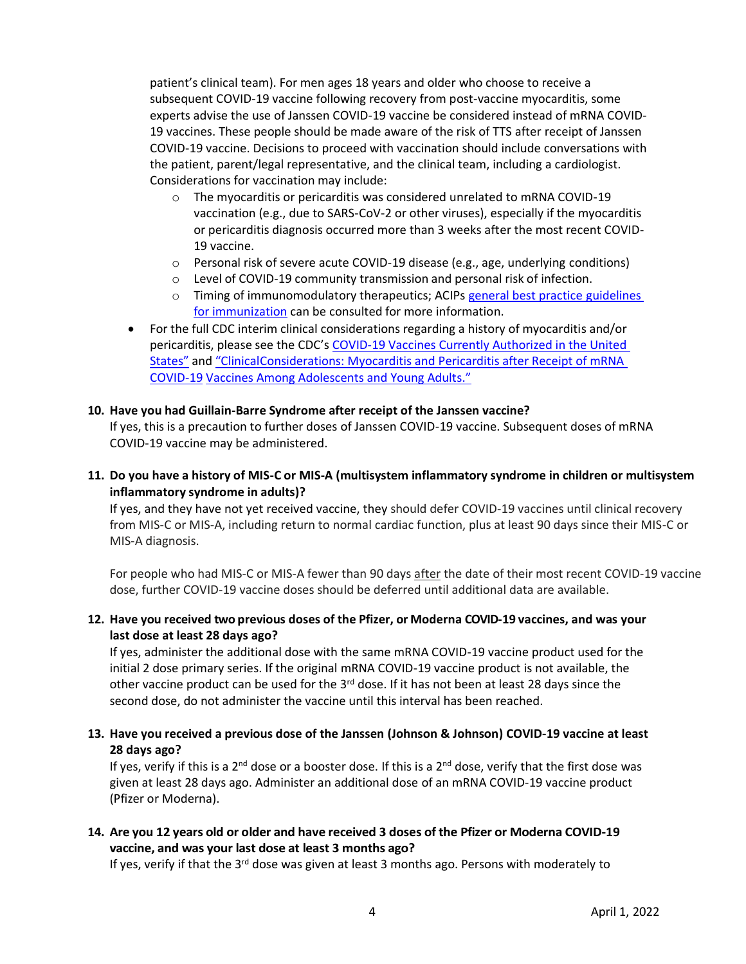patient's clinical team). For men ages 18 years and older who choose to receive a subsequent COVID-19 vaccine following recovery from post-vaccine myocarditis, some experts advise the use of Janssen COVID-19 vaccine be considered instead of mRNA COVID-19 vaccines. These people should be made aware of the risk of TTS after receipt of Janssen COVID-19 vaccine. Decisions to proceed with vaccination should include conversations with the patient, parent/legal representative, and the clinical team, including a cardiologist. Considerations for vaccination may include:

- $\circ$  The myocarditis or pericarditis was considered unrelated to mRNA COVID-19 vaccination (e.g., due to SARS-CoV-2 or other viruses), especially if the myocarditis or pericarditis diagnosis occurred more than 3 weeks after the most recent COVID-19 vaccine.
- $\circ$  Personal risk of severe acute COVID-19 disease (e.g., age, underlying conditions)
- $\circ$  Level of COVID-19 community transmission and personal risk of infection.
- $\circ$  Timing of immunomodulatory therapeutics; ACIPs [general best practice](https://www.cdc.gov/vaccines/hcp/acip-recs/general-recs/index.html) [guidelines](https://www.cdc.gov/vaccines/hcp/acip-recs/general-recs/index.html) for [immunization](https://www.cdc.gov/vaccines/hcp/acip-recs/general-recs/index.html) can be consulted for more information.
- For the full CDC interim clinical considerations regarding a history of myocarditis and/or pericarditis, please see the CDC's COVID-19 Vaccines Currently Authorized in the United States" and "ClinicalConsiderations: Myocarditis and Pericarditis after Receipt of mRNA COVID-19 Vaccines Among Adolescents and Young Adults."

#### **10. Have you had Guillain-Barre Syndrome after receipt of the Janssen vaccine?**

If yes, this is a precaution to further doses of Janssen COVID-19 vaccine. Subsequent doses of mRNA COVID-19 vaccine may be administered.

**11. Do you have a history of MIS-C or MIS-A (multisystem inflammatory syndrome in children or multisystem inflammatory syndrome in adults)?** 

If yes, and they have not yet received vaccine, they should defer COVID-19 vaccines until clinical recovery from MIS-C or MIS-A, including return to normal cardiac function, plus at least 90 days since their MIS-C or MIS-A diagnosis.

For people who had MIS-C or MIS-A fewer than 90 days after the date of their most recent COVID-19 vaccine dose, further COVID-19 vaccine doses should be deferred until additional data are available.

**12. Have you received two previous doses of the Pfizer, or Moderna COVID-19 vaccines, and was your last dose at least 28 days ago?**

If yes, administer the additional dose with the same mRNA COVID-19 vaccine product used for the initial 2 dose primary series. If the original mRNA COVID-19 vaccine product is not available, the other vaccine product can be used for the  $3<sup>rd</sup>$  dose. If it has not been at least 28 days since the second dose, do not administer the vaccine until this interval has been reached.

**13. Have you received a previous dose of the Janssen (Johnson & Johnson) COVID-19 vaccine at least 28 days ago?**

If yes, verify if this is a 2<sup>nd</sup> dose or a booster dose. If this is a 2<sup>nd</sup> dose, verify that the first dose was given at least 28 days ago. Administer an additional dose of an mRNA COVID-19 vaccine product (Pfizer or Moderna).

## **14. Are you 12 years old or older and have received 3 doses of the Pfizer or Moderna COVID-19 vaccine, and was your last dose at least 3 months ago?**

If yes, verify if that the  $3^{rd}$  dose was given at least 3 months ago. Persons with moderately to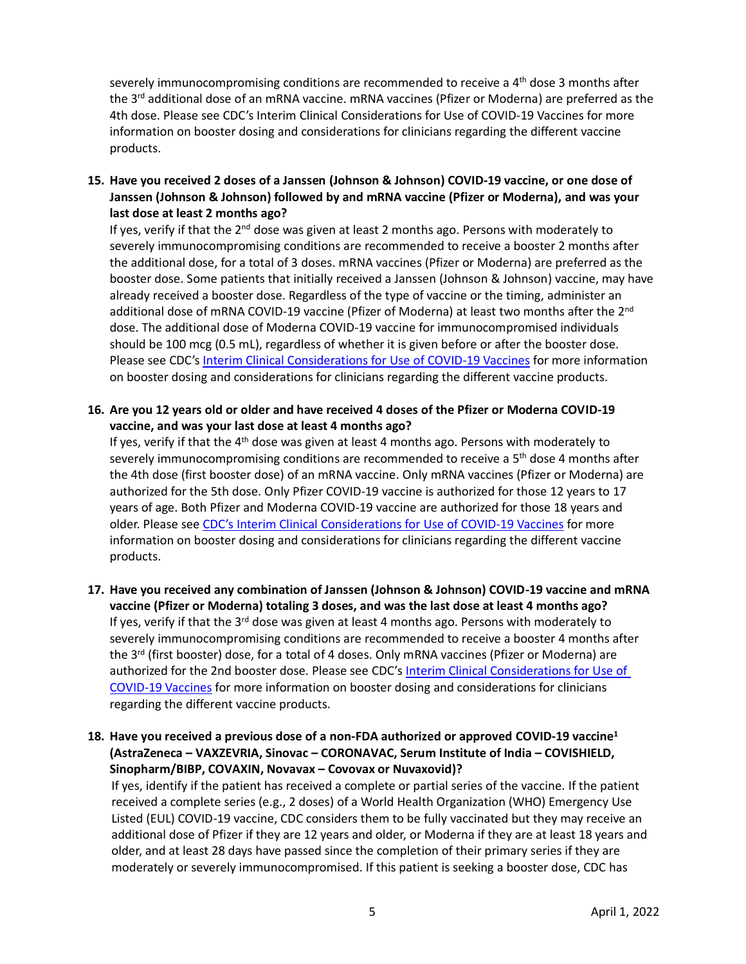severely immunocompromising conditions are recommended to receive a 4<sup>th</sup> dose 3 months after the 3<sup>rd</sup> additional dose of an mRNA vaccine. mRNA vaccines (Pfizer or Moderna) are preferred as the 4th dose. Please see CDC's Interim Clinical Considerations for Use of COVID-19 Vaccines for more information on booster dosing and considerations for clinicians regarding the different vaccine products.

**15. Have you received 2 doses of a Janssen (Johnson & Johnson) COVID-19 vaccine, or one dose of Janssen (Johnson & Johnson) followed by and mRNA vaccine (Pfizer or Moderna), and was your last dose at least 2 months ago?**

If yes, verify if that the  $2<sup>nd</sup>$  dose was given at least 2 months ago. Persons with moderately to severely immunocompromising conditions are recommended to receive a booster 2 months after the additional dose, for a total of 3 doses. mRNA vaccines (Pfizer or Moderna) are preferred as the booster dose. Some patients that initially received a Janssen (Johnson & Johnson) vaccine, may have already received a booster dose. Regardless of the type of vaccine or the timing, administer an additional dose of mRNA COVID-19 vaccine (Pfizer of Moderna) at least two months after the 2<sup>nd</sup> dose. The additional dose of Moderna COVID-19 vaccine for immunocompromised individuals should be 100 mcg (0.5 mL), regardless of whether it is given before or after the booster dose. Please see CDC's [Interim Clinical Considerations for Use of COVID-19 Vaccines](https://www.cdc.gov/vaccines/covid-19/clinical-considerations/covid-19-vaccines-us.html) for more information on booster dosing and considerations for clinicians regarding the different vaccine products.

**16. Are you 12 years old or older and have received 4 doses of the Pfizer or Moderna COVID-19 vaccine, and was your last dose at least 4 months ago?**

If yes, verify if that the  $4<sup>th</sup>$  dose was given at least 4 months ago. Persons with moderately to severely immunocompromising conditions are recommended to receive a 5<sup>th</sup> dose 4 months after the 4th dose (first booster dose) of an mRNA vaccine. Only mRNA vaccines (Pfizer or Moderna) are authorized for the 5th dose. Only Pfizer COVID-19 vaccine is authorized for those 12 years to 17 years of age. Both Pfizer and Moderna COVID-19 vaccine are authorized for those 18 years and older. Please see [CDC's Interim Clinical Considerations for Use of COVID-19 Vaccines](https://www.cdc.gov/vaccines/covid-19/clinical-considerations/covid-19-vaccines-us.html) for more information on booster dosing and considerations for clinicians regarding the different vaccine products.

- **17. Have you received any combination of Janssen (Johnson & Johnson) COVID-19 vaccine and mRNA vaccine (Pfizer or Moderna) totaling 3 doses, and was the last dose at least 4 months ago?** If yes, verify if that the  $3^{rd}$  dose was given at least 4 months ago. Persons with moderately to severely immunocompromising conditions are recommended to receive a booster 4 months after the 3<sup>rd</sup> (first booster) dose, for a total of 4 doses. Only mRNA vaccines (Pfizer or Moderna) are authorized for the 2nd booster dose. Please see CDC's [Interim Clinical Considerations for Use of](https://www.cdc.gov/vaccines/covid-19/clinical-considerations/covid-19-vaccines-us.html)  [COVID-19 Vaccines](https://www.cdc.gov/vaccines/covid-19/clinical-considerations/covid-19-vaccines-us.html) for more information on booster dosing and considerations for clinicians regarding the different vaccine products.
- **18. Have you received a previous dose of a non-FDA authorized or approved COVID-19 vaccine<sup>1</sup> (AstraZeneca – VAXZEVRIA, Sinovac – CORONAVAC, Serum Institute of India – COVISHIELD, Sinopharm/BIBP, COVAXIN, Novavax – Covovax or Nuvaxovid)?**

If yes, identify if the patient has received a complete or partial series of the vaccine. If the patient received a complete series (e.g., 2 doses) of a World Health Organization (WHO) Emergency Use Listed (EUL) COVID-19 vaccine, CDC considers them to be fully vaccinated but they may receive an additional dose of Pfizer if they are 12 years and older, or Moderna if they are at least 18 years and older, and at least 28 days have passed since the completion of their primary series if they are moderately or severely immunocompromised. If this patient is seeking a booster dose, CDC has